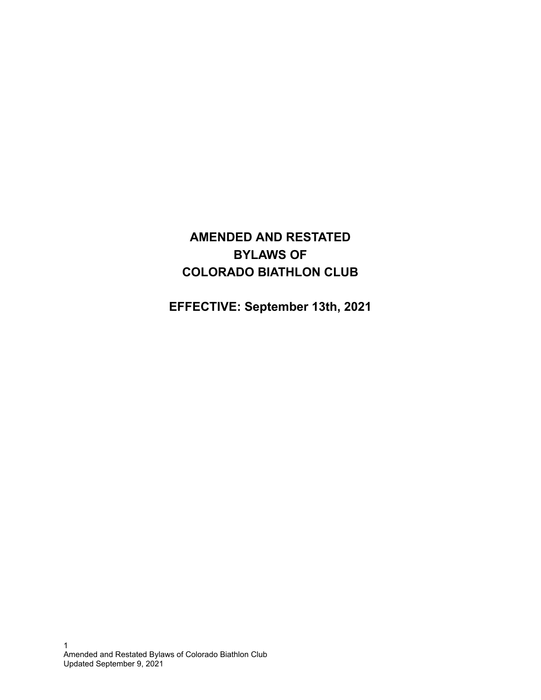# **AMENDED AND RESTATED BYLAWS OF COLORADO BIATHLON CLUB**

**EFFECTIVE: September 13th, 2021**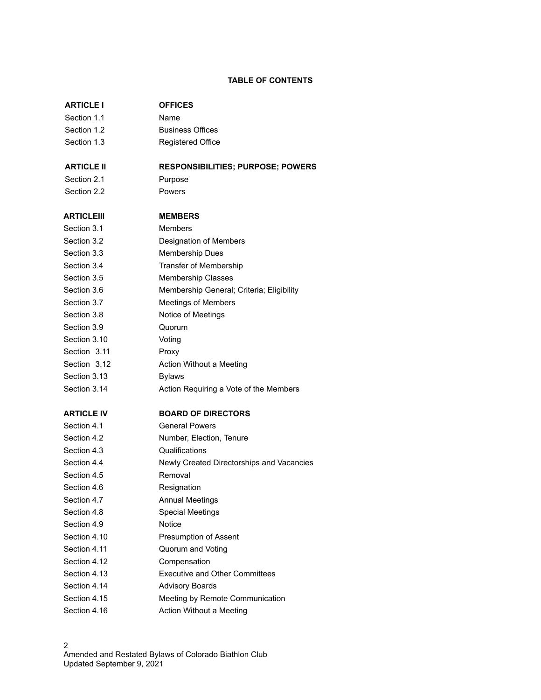## **TABLE OF CONTENTS**

| <b>ARTICLE I</b>  | <b>OFFICES</b>                            |
|-------------------|-------------------------------------------|
| Section 1.1       | Name                                      |
| Section 1.2       | <b>Business Offices</b>                   |
| Section 1.3       | <b>Registered Office</b>                  |
| <b>ARTICLE II</b> | <b>RESPONSIBILITIES; PURPOSE; POWERS</b>  |
| Section 2.1       | Purpose                                   |
| Section 2.2       | Powers                                    |
| ARTICLEIII        | <b>MEMBERS</b>                            |
| Section 3.1       | <b>Members</b>                            |
| Section 3.2       | Designation of Members                    |
| Section 3.3       | <b>Membership Dues</b>                    |
| Section 3.4       | Transfer of Membership                    |
| Section 3.5       | Membership Classes                        |
| Section 3.6       | Membership General; Criteria; Eligibility |
| Section 3.7       | <b>Meetings of Members</b>                |
| Section 3.8       | Notice of Meetings                        |
| Section 3.9       | Quorum                                    |
| Section 3.10      | Voting                                    |
| Section 3.11      | Proxy                                     |
| Section 3.12      | Action Without a Meeting                  |
| Section 3.13      | <b>Bylaws</b>                             |
| Section 3.14      | Action Requiring a Vote of the Members    |
| <b>ARTICLE IV</b> | <b>BOARD OF DIRECTORS</b>                 |
| Section 4.1       | <b>General Powers</b>                     |
| Section 4.2       | Number, Election, Tenure                  |
| Section 4.3       | Qualifications                            |
| Section 4.4       | Newly Created Directorships and Vacancies |
| Section 4.5       | Removal                                   |
| Section 4.6       | Resignation                               |
| Section 4.7       | <b>Annual Meetings</b>                    |
| Section 4.8       | <b>Special Meetings</b>                   |
| Section 4.9       | Notice                                    |
| Section 4.10      | Presumption of Assent                     |
| Section 4.11      | Quorum and Voting                         |
| Section 4.12      | Compensation                              |
| Section 4.13      | <b>Executive and Other Committees</b>     |
| Section 4.14      | <b>Advisory Boards</b>                    |
| Section 4.15      | Meeting by Remote Communication           |
| Section 4.16      | Action Without a Meeting                  |
|                   |                                           |

2 Amended and Restated Bylaws of Colorado Biathlon Club Updated September 9, 2021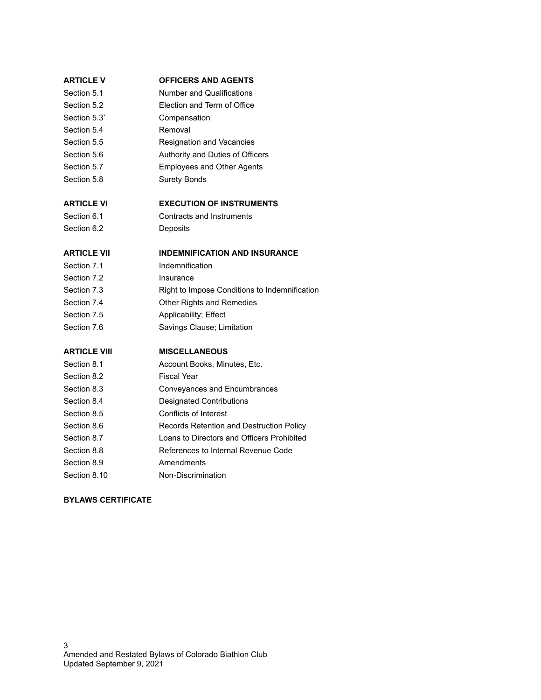#### **ARTICLE V OFFICERS AND AGENTS**

- Section 5.1 Number and Qualifications
- Section 5.2 Election and Term of Office
- Section 5.3` Compensation
- Section 5.4 Removal
- Section 5.5 Resignation and Vacancies
- Section 5.6 **Authority and Duties of Officers**
- Section 5.7 Employees and Other Agents
- Section 5.8 Surety Bonds

## **ARTICLE VI EXECUTION OF INSTRUMENTS**

# Section 6.1 Contracts and Instruments

Section 6.2 Deposits

## **ARTICLE VII INDEMNIFICATION AND INSURANCE**

- Section 7.1 **Indemnification**
- Section 7.2 **Insurance**
- Section 7.3 Right to Impose Conditions to Indemnification
- Section 7.4 Other Rights and Remedies
- Section 7.5 Applicability; Effect
- Section 7.6 Savings Clause; Limitation

## **ARTICLE VIII MISCELLANEOUS**

- Section 8.1 **Account Books, Minutes, Etc.**
- Section 8.2 Fiscal Year
- Section 8.3 Conveyances and Encumbrances
- Section 8.4 Designated Contributions
- Section 8.5 Conflicts of Interest
- Section 8.6 Records Retention and Destruction Policy
- Section 8.7 Loans to Directors and Officers Prohibited
- Section 8.8 References to Internal Revenue Code
- Section 8.9 Amendments
- Section 8.10 Non-Discrimination

## **BYLAWS CERTIFICATE**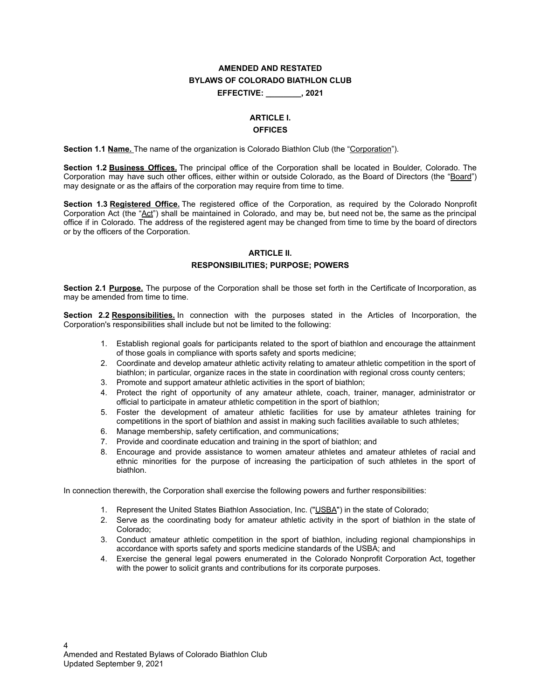## **AMENDED AND RESTATED BYLAWS OF COLORADO BIATHLON CLUB EFFECTIVE: \_\_\_\_\_\_\_\_, 2021**

## **ARTICLE I.**

## **OFFICES**

**Section 1.1 Name.** The name of the organization is Colorado Biathlon Club (the "Corporation").

**Section 1.2 Business Offices.** The principal office of the Corporation shall be located in Boulder, Colorado. The Corporation may have such other offices, either within or outside Colorado, as the Board of Directors (the "Board") may designate or as the affairs of the corporation may require from time to time.

**Section 1.3 Registered Office.** The registered office of the Corporation, as required by the Colorado Nonprofit Corporation Act (the "Act") shall be maintained in Colorado, and may be, but need not be, the same as the principal office if in Colorado. The address of the registered agent may be changed from time to time by the board of directors or by the officers of the Corporation.

## **ARTICLE II.**

#### **RESPONSIBILITIES; PURPOSE; POWERS**

**Section 2.1 Purpose.** The purpose of the Corporation shall be those set forth in the Certificate of Incorporation, as may be amended from time to time.

**Section 2.2 Responsibilities.** In connection with the purposes stated in the Articles of Incorporation, the Corporation's responsibilities shall include but not be limited to the following:

- 1. Establish regional goals for participants related to the sport of biathlon and encourage the attainment of those goals in compliance with sports safety and sports medicine;
- 2. Coordinate and develop amateur athletic activity relating to amateur athletic competition in the sport of biathlon; in particular, organize races in the state in coordination with regional cross county centers;
- 3. Promote and support amateur athletic activities in the sport of biathlon;
- 4. Protect the right of opportunity of any amateur athlete, coach, trainer, manager, administrator or official to participate in amateur athletic competition in the sport of biathlon;
- 5. Foster the development of amateur athletic facilities for use by amateur athletes training for competitions in the sport of biathlon and assist in making such facilities available to such athletes;
- 6. Manage membership, safety certification, and communications;
- 7. Provide and coordinate education and training in the sport of biathlon; and
- 8. Encourage and provide assistance to women amateur athletes and amateur athletes of racial and ethnic minorities for the purpose of increasing the participation of such athletes in the sport of biathlon.

In connection therewith, the Corporation shall exercise the following powers and further responsibilities:

- 1. Represent the United States Biathlon Association, Inc. ("USBA") in the state of Colorado;
- 2. Serve as the coordinating body for amateur athletic activity in the sport of biathlon in the state of Colorado;
- 3. Conduct amateur athletic competition in the sport of biathlon, including regional championships in accordance with sports safety and sports medicine standards of the USBA; and
- 4. Exercise the general legal powers enumerated in the Colorado Nonprofit Corporation Act, together with the power to solicit grants and contributions for its corporate purposes.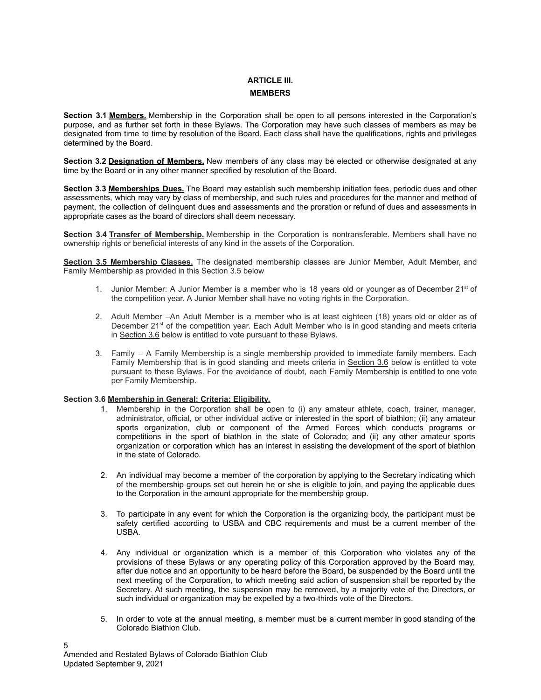## **ARTICLE III. MEMBERS**

**Section 3.1 Members.** Membership in the Corporation shall be open to all persons interested in the Corporation's purpose, and as further set forth in these Bylaws. The Corporation may have such classes of members as may be designated from time to time by resolution of the Board. Each class shall have the qualifications, rights and privileges determined by the Board.

**Section 3.2 Designation of Members.** New members of any class may be elected or otherwise designated at any time by the Board or in any other manner specified by resolution of the Board.

**Section 3.3 Memberships Dues.** The Board may establish such membership initiation fees, periodic dues and other assessments, which may vary by class of membership, and such rules and procedures for the manner and method of payment, the collection of delinquent dues and assessments and the proration or refund of dues and assessments in appropriate cases as the board of directors shall deem necessary.

**Section 3.4 Transfer of Membership.** Membership in the Corporation is nontransferable. Members shall have no ownership rights or beneficial interests of any kind in the assets of the Corporation.

**Section 3.5 Membership Classes.** The designated membership classes are Junior Member, Adult Member, and Family Membership as provided in this Section 3.5 below

- 1. Junior Member: A Junior Member is a member who is 18 years old or younger as of December  $21<sup>st</sup>$  of the competition year. A Junior Member shall have no voting rights in the Corporation.
- 2. Adult Member –An Adult Member is a member who is at least eighteen (18) years old or older as of December  $21^{st}$  of the competition year. Each Adult Member who is in good standing and meets criteria in Section 3.6 below is entitled to vote pursuant to these Bylaws.
- 3. Family A Family Membership is a single membership provided to immediate family members. Each Family Membership that is in good standing and meets criteria in Section 3.6 below is entitled to vote pursuant to these Bylaws. For the avoidance of doubt, each Family Membership is entitled to one vote per Family Membership.

#### **Section 3.6 Membership in General; Criteria; Eligibility.**

- 1. Membership in the Corporation shall be open to (i) any amateur athlete, coach, trainer, manager, administrator, official, or other individual active or interested in the sport of biathlon; (ii) any amateur sports organization, club or component of the Armed Forces which conducts programs or competitions in the sport of biathlon in the state of Colorado; and (ii) any other amateur sports organization or corporation which has an interest in assisting the development of the sport of biathlon in the state of Colorado.
- 2. An individual may become a member of the corporation by applying to the Secretary indicating which of the membership groups set out herein he or she is eligible to join, and paying the applicable dues to the Corporation in the amount appropriate for the membership group.
- 3. To participate in any event for which the Corporation is the organizing body, the participant must be safety certified according to USBA and CBC requirements and must be a current member of the USBA.
- 4. Any individual or organization which is a member of this Corporation who violates any of the provisions of these Bylaws or any operating policy of this Corporation approved by the Board may, after due notice and an opportunity to be heard before the Board, be suspended by the Board until the next meeting of the Corporation, to which meeting said action of suspension shall be reported by the Secretary. At such meeting, the suspension may be removed, by a majority vote of the Directors, or such individual or organization may be expelled by a two-thirds vote of the Directors.
- 5. In order to vote at the annual meeting, a member must be a current member in good standing of the Colorado Biathlon Club.

5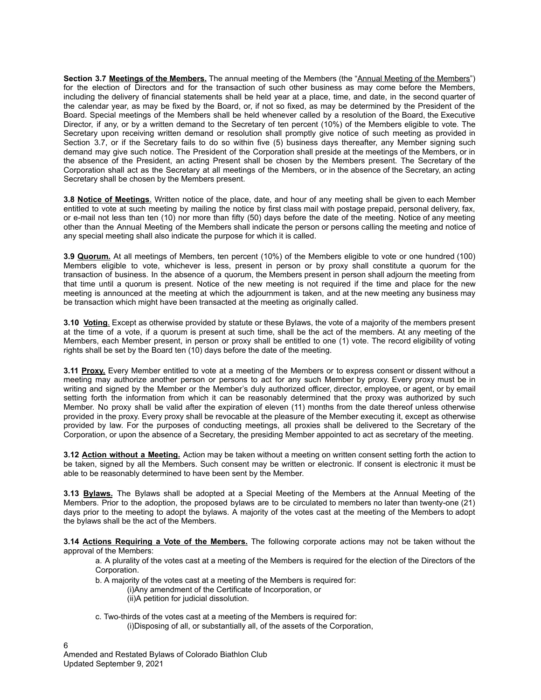**Section 3.7 Meetings of the Members.** The annual meeting of the Members (the "Annual Meeting of the Members") for the election of Directors and for the transaction of such other business as may come before the Members, including the delivery of financial statements shall be held year at a place, time, and date, in the second quarter of the calendar year, as may be fixed by the Board, or, if not so fixed, as may be determined by the President of the Board. Special meetings of the Members shall be held whenever called by a resolution of the Board, the Executive Director, if any, or by a written demand to the Secretary of ten percent (10%) of the Members eligible to vote. The Secretary upon receiving written demand or resolution shall promptly give notice of such meeting as provided in Section 3.7, or if the Secretary fails to do so within five (5) business days thereafter, any Member signing such demand may give such notice. The President of the Corporation shall preside at the meetings of the Members, or in the absence of the President, an acting Present shall be chosen by the Members present. The Secretary of the Corporation shall act as the Secretary at all meetings of the Members, or in the absence of the Secretary, an acting Secretary shall be chosen by the Members present.

**3.8 Notice of Meetings**. Written notice of the place, date, and hour of any meeting shall be given to each Member entitled to vote at such meeting by mailing the notice by first class mail with postage prepaid, personal delivery, fax, or e-mail not less than ten (10) nor more than fifty (50) days before the date of the meeting. Notice of any meeting other than the Annual Meeting of the Members shall indicate the person or persons calling the meeting and notice of any special meeting shall also indicate the purpose for which it is called.

**3.9 Quorum.** At all meetings of Members, ten percent (10%) of the Members eligible to vote or one hundred (100) Members eligible to vote, whichever is less, present in person or by proxy shall constitute a quorum for the transaction of business. In the absence of a quorum, the Members present in person shall adjourn the meeting from that time until a quorum is present. Notice of the new meeting is not required if the time and place for the new meeting is announced at the meeting at which the adjournment is taken, and at the new meeting any business may be transaction which might have been transacted at the meeting as originally called.

**3.10 Voting**. Except as otherwise provided by statute or these Bylaws, the vote of a majority of the members present at the time of a vote, if a quorum is present at such time, shall be the act of the members. At any meeting of the Members, each Member present, in person or proxy shall be entitled to one (1) vote. The record eligibility of voting rights shall be set by the Board ten (10) days before the date of the meeting.

**3.11 Proxy.** Every Member entitled to vote at a meeting of the Members or to express consent or dissent without a meeting may authorize another person or persons to act for any such Member by proxy. Every proxy must be in writing and signed by the Member or the Member's duly authorized officer, director, employee, or agent, or by email setting forth the information from which it can be reasonably determined that the proxy was authorized by such Member. No proxy shall be valid after the expiration of eleven (11) months from the date thereof unless otherwise provided in the proxy. Every proxy shall be revocable at the pleasure of the Member executing it, except as otherwise provided by law. For the purposes of conducting meetings, all proxies shall be delivered to the Secretary of the Corporation, or upon the absence of a Secretary, the presiding Member appointed to act as secretary of the meeting.

**3.12 Action without a Meeting.** Action may be taken without a meeting on written consent setting forth the action to be taken, signed by all the Members. Such consent may be written or electronic. If consent is electronic it must be able to be reasonably determined to have been sent by the Member.

**3.13 Bylaws.** The Bylaws shall be adopted at a Special Meeting of the Members at the Annual Meeting of the Members. Prior to the adoption, the proposed bylaws are to be circulated to members no later than twenty-one (21) days prior to the meeting to adopt the bylaws. A majority of the votes cast at the meeting of the Members to adopt the bylaws shall be the act of the Members.

**3.14 Actions Requiring a Vote of the Members.** The following corporate actions may not be taken without the approval of the Members:

a. A plurality of the votes cast at a meeting of the Members is required for the election of the Directors of the Corporation.

b. A majority of the votes cast at a meeting of the Members is required for:

- (i)Any amendment of the Certificate of Incorporation, or
	- (ii)A petition for judicial dissolution.
- c. Two-thirds of the votes cast at a meeting of the Members is required for: (i)Disposing of all, or substantially all, of the assets of the Corporation,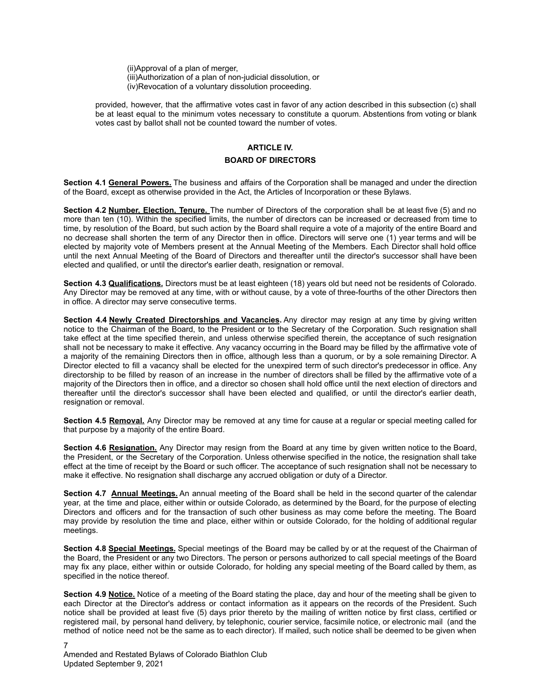(ii)Approval of a plan of merger, (iii)Authorization of a plan of non-judicial dissolution, or (iv)Revocation of a voluntary dissolution proceeding.

provided, however, that the affirmative votes cast in favor of any action described in this subsection (c) shall be at least equal to the minimum votes necessary to constitute a quorum. Abstentions from voting or blank votes cast by ballot shall not be counted toward the number of votes.

## **ARTICLE IV. BOARD OF DIRECTORS**

**Section 4.1 General Powers.** The business and affairs of the Corporation shall be managed and under the direction of the Board, except as otherwise provided in the Act, the Articles of Incorporation or these Bylaws.

**Section 4.2 Number, Election, Tenure.** The number of Directors of the corporation shall be at least five (5) and no more than ten (10). Within the specified limits, the number of directors can be increased or decreased from time to time, by resolution of the Board, but such action by the Board shall require a vote of a majority of the entire Board and no decrease shall shorten the term of any Director then in office. Directors will serve one (1) year terms and will be elected by majority vote of Members present at the Annual Meeting of the Members. Each Director shall hold office until the next Annual Meeting of the Board of Directors and thereafter until the director's successor shall have been elected and qualified, or until the director's earlier death, resignation or removal.

**Section 4.3 Qualifications.** Directors must be at least eighteen (18) years old but need not be residents of Colorado. Any Director may be removed at any time, with or without cause, by a vote of three-fourths of the other Directors then in office. A director may serve consecutive terms.

**Section 4.4 Newly Created Directorships and Vacancies.** Any director may resign at any time by giving written notice to the Chairman of the Board, to the President or to the Secretary of the Corporation. Such resignation shall take effect at the time specified therein, and unless otherwise specified therein, the acceptance of such resignation shall not be necessary to make it effective. Any vacancy occurring in the Board may be filled by the affirmative vote of a majority of the remaining Directors then in office, although less than a quorum, or by a sole remaining Director. A Director elected to fill a vacancy shall be elected for the unexpired term of such director's predecessor in office. Any directorship to be filled by reason of an increase in the number of directors shall be filled by the affirmative vote of a majority of the Directors then in office, and a director so chosen shall hold office until the next election of directors and thereafter until the director's successor shall have been elected and qualified, or until the director's earlier death, resignation or removal.

**Section 4.5 Removal.** Any Director may be removed at any time for cause at a regular or special meeting called for that purpose by a majority of the entire Board.

**Section 4.6 Resignation.** Any Director may resign from the Board at any time by given written notice to the Board, the President, or the Secretary of the Corporation. Unless otherwise specified in the notice, the resignation shall take effect at the time of receipt by the Board or such officer. The acceptance of such resignation shall not be necessary to make it effective. No resignation shall discharge any accrued obligation or duty of a Director.

**Section 4.7 Annual Meetings.** An annual meeting of the Board shall be held in the second quarter of the calendar year, at the time and place, either within or outside Colorado, as determined by the Board, for the purpose of electing Directors and officers and for the transaction of such other business as may come before the meeting. The Board may provide by resolution the time and place, either within or outside Colorado, for the holding of additional regular meetings.

**Section 4.8 Special Meetings.** Special meetings of the Board may be called by or at the request of the Chairman of the Board, the President or any two Directors. The person or persons authorized to call special meetings of the Board may fix any place, either within or outside Colorado, for holding any special meeting of the Board called by them, as specified in the notice thereof.

**Section 4.9 Notice.** Notice of a meeting of the Board stating the place, day and hour of the meeting shall be given to each Director at the Director's address or contact information as it appears on the records of the President. Such notice shall be provided at least five (5) days prior thereto by the mailing of written notice by first class, certified or registered mail, by personal hand delivery, by telephonic, courier service, facsimile notice, or electronic mail (and the method of notice need not be the same as to each director). If mailed, such notice shall be deemed to be given when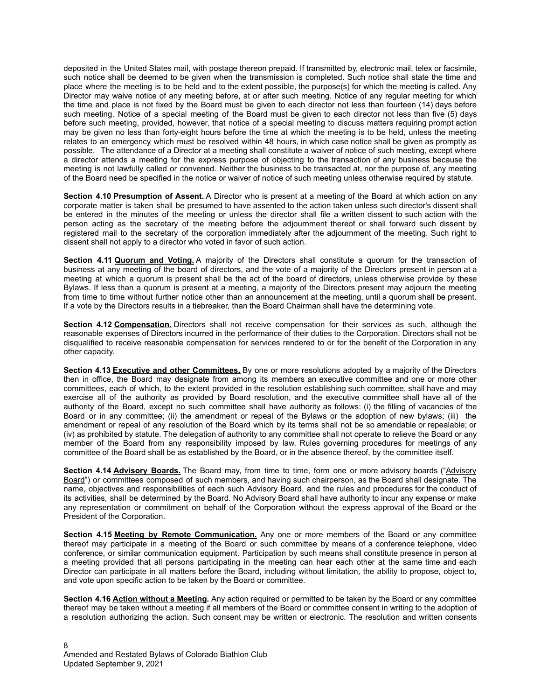deposited in the United States mail, with postage thereon prepaid. If transmitted by, electronic mail, telex or facsimile, such notice shall be deemed to be given when the transmission is completed. Such notice shall state the time and place where the meeting is to be held and to the extent possible, the purpose(s) for which the meeting is called. Any Director may waive notice of any meeting before, at or after such meeting. Notice of any regular meeting for which the time and place is not fixed by the Board must be given to each director not less than fourteen (14) days before such meeting. Notice of a special meeting of the Board must be given to each director not less than five (5) days before such meeting, provided, however, that notice of a special meeting to discuss matters requiring prompt action may be given no less than forty-eight hours before the time at which the meeting is to be held, unless the meeting relates to an emergency which must be resolved within 48 hours, in which case notice shall be given as promptly as possible. The attendance of a Director at a meeting shall constitute a waiver of notice of such meeting, except where a director attends a meeting for the express purpose of objecting to the transaction of any business because the meeting is not lawfully called or convened. Neither the business to be transacted at, nor the purpose of, any meeting of the Board need be specified in the notice or waiver of notice of such meeting unless otherwise required by statute.

**Section 4.10 Presumption of Assent.** A Director who is present at a meeting of the Board at which action on any corporate matter is taken shall be presumed to have assented to the action taken unless such director's dissent shall be entered in the minutes of the meeting or unless the director shall file a written dissent to such action with the person acting as the secretary of the meeting before the adjournment thereof or shall forward such dissent by registered mail to the secretary of the corporation immediately after the adjournment of the meeting. Such right to dissent shall not apply to a director who voted in favor of such action.

**Section 4.11 Quorum and Voting.** A majority of the Directors shall constitute a quorum for the transaction of business at any meeting of the board of directors, and the vote of a majority of the Directors present in person at a meeting at which a quorum is present shall be the act of the board of directors, unless otherwise provide by these Bylaws. If less than a quorum is present at a meeting, a majority of the Directors present may adjourn the meeting from time to time without further notice other than an announcement at the meeting, until a quorum shall be present. If a vote by the Directors results in a tiebreaker, than the Board Chairman shall have the determining vote.

**Section 4.12 Compensation.** Directors shall not receive compensation for their services as such, although the reasonable expenses of Directors incurred in the performance of their duties to the Corporation. Directors shall not be disqualified to receive reasonable compensation for services rendered to or for the benefit of the Corporation in any other capacity.

**Section 4.13 Executive and other Committees.** By one or more resolutions adopted by a majority of the Directors then in office, the Board may designate from among its members an executive committee and one or more other committees, each of which, to the extent provided in the resolution establishing such committee, shall have and may exercise all of the authority as provided by Board resolution, and the executive committee shall have all of the authority of the Board, except no such committee shall have authority as follows: (i) the filling of vacancies of the Board or in any committee; (ii) the amendment or repeal of the Bylaws or the adoption of new bylaws; (iii) the amendment or repeal of any resolution of the Board which by its terms shall not be so amendable or repealable; or (iv) as prohibited by statute. The delegation of authority to any committee shall not operate to relieve the Board or any member of the Board from any responsibility imposed by law. Rules governing procedures for meetings of any committee of the Board shall be as established by the Board, or in the absence thereof, by the committee itself.

**Section 4.14 Advisory Boards.** The Board may, from time to time, form one or more advisory boards ("Advisory Board") or committees composed of such members, and having such chairperson, as the Board shall designate. The name, objectives and responsibilities of each such Advisory Board, and the rules and procedures for the conduct of its activities, shall be determined by the Board. No Advisory Board shall have authority to incur any expense or make any representation or commitment on behalf of the Corporation without the express approval of the Board or the President of the Corporation.

**Section 4.15 Meeting by Remote Communication.** Any one or more members of the Board or any committee thereof may participate in a meeting of the Board or such committee by means of a conference telephone, video conference, or similar communication equipment. Participation by such means shall constitute presence in person at a meeting provided that all persons participating in the meeting can hear each other at the same time and each Director can participate in all matters before the Board, including without limitation, the ability to propose, object to, and vote upon specific action to be taken by the Board or committee.

**Section 4.16 Action without a Meeting.** Any action required or permitted to be taken by the Board or any committee thereof may be taken without a meeting if all members of the Board or committee consent in writing to the adoption of a resolution authorizing the action. Such consent may be written or electronic. The resolution and written consents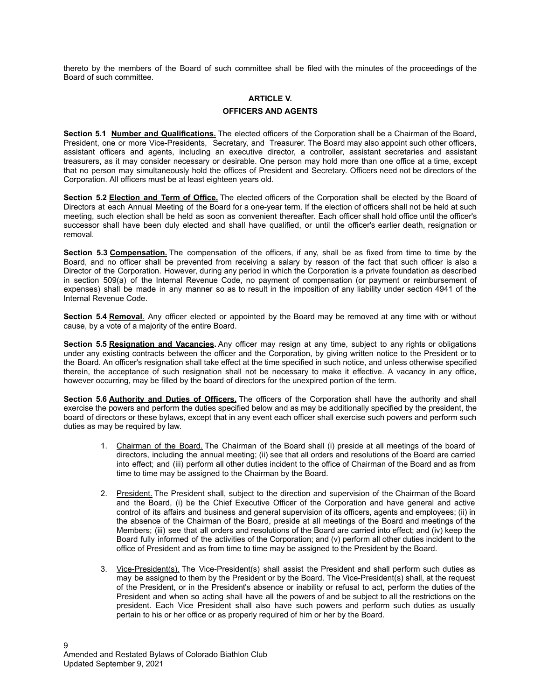thereto by the members of the Board of such committee shall be filed with the minutes of the proceedings of the Board of such committee.

#### **ARTICLE V.**

#### **OFFICERS AND AGENTS**

**Section 5.1 Number and Qualifications.** The elected officers of the Corporation shall be a Chairman of the Board, President, one or more Vice-Presidents, Secretary, and Treasurer. The Board may also appoint such other officers, assistant officers and agents, including an executive director, a controller, assistant secretaries and assistant treasurers, as it may consider necessary or desirable. One person may hold more than one office at a time, except that no person may simultaneously hold the offices of President and Secretary. Officers need not be directors of the Corporation. All officers must be at least eighteen years old.

**Section 5.2 Election and Term of Office.** The elected officers of the Corporation shall be elected by the Board of Directors at each Annual Meeting of the Board for a one-year term. If the election of officers shall not be held at such meeting, such election shall be held as soon as convenient thereafter. Each officer shall hold office until the officer's successor shall have been duly elected and shall have qualified, or until the officer's earlier death, resignation or removal.

**Section 5.3 Compensation.** The compensation of the officers, if any, shall be as fixed from time to time by the Board, and no officer shall be prevented from receiving a salary by reason of the fact that such officer is also a Director of the Corporation. However, during any period in which the Corporation is a private foundation as described in section 509(a) of the Internal Revenue Code, no payment of compensation (or payment or reimbursement of expenses) shall be made in any manner so as to result in the imposition of any liability under section 4941 of the Internal Revenue Code.

**Section 5.4 Removal**. Any officer elected or appointed by the Board may be removed at any time with or without cause, by a vote of a majority of the entire Board.

**Section 5.5 Resignation and Vacancies.** Any officer may resign at any time, subject to any rights or obligations under any existing contracts between the officer and the Corporation, by giving written notice to the President or to the Board. An officer's resignation shall take effect at the time specified in such notice, and unless otherwise specified therein, the acceptance of such resignation shall not be necessary to make it effective. A vacancy in any office, however occurring, may be filled by the board of directors for the unexpired portion of the term.

**Section 5.6 Authority and Duties of Officers.** The officers of the Corporation shall have the authority and shall exercise the powers and perform the duties specified below and as may be additionally specified by the president, the board of directors or these bylaws, except that in any event each officer shall exercise such powers and perform such duties as may be required by law.

- 1. Chairman of the Board. The Chairman of the Board shall (i) preside at all meetings of the board of directors, including the annual meeting; (ii) see that all orders and resolutions of the Board are carried into effect; and (iii) perform all other duties incident to the office of Chairman of the Board and as from time to time may be assigned to the Chairman by the Board.
- 2. President. The President shall, subject to the direction and supervision of the Chairman of the Board and the Board, (i) be the Chief Executive Officer of the Corporation and have general and active control of its affairs and business and general supervision of its officers, agents and employees; (ii) in the absence of the Chairman of the Board, preside at all meetings of the Board and meetings of the Members; (iii) see that all orders and resolutions of the Board are carried into effect; and (iv) keep the Board fully informed of the activities of the Corporation; and (v) perform all other duties incident to the office of President and as from time to time may be assigned to the President by the Board.
- 3. Vice-President(s). The Vice-President(s) shall assist the President and shall perform such duties as may be assigned to them by the President or by the Board. The Vice-President(s) shall, at the request of the President, or in the President's absence or inability or refusal to act, perform the duties of the President and when so acting shall have all the powers of and be subject to all the restrictions on the president. Each Vice President shall also have such powers and perform such duties as usually pertain to his or her office or as properly required of him or her by the Board.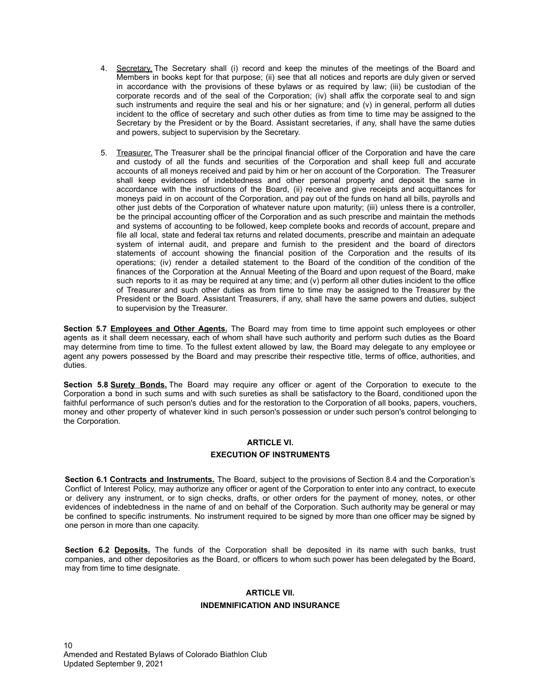- 4. Secretary. The Secretary shall (i) record and keep the minutes of the meetings of the Board and Members in books kept for that purpose; (ii) see that all notices and reports are duly given or served in accordance with the provisions of these bylaws or as required by law; (iii) be custodian of the corporate records and of the seal of the Corporation; (iv) shall affix the corporate seal to and sign such instruments and require the seal and his or her signature; and (v) in general, perform all duties incident to the office of secretary and such other duties as from time to time may be assigned to the Secretary by the President or by the Board. Assistant secretaries, if any, shall have the same duties and powers, subject to supervision by the Secretary.
- 5. Treasurer. The Treasurer shall be the principal financial officer of the Corporation and have the care and custody of all the funds and securities of the Corporation and shall keep full and accurate accounts of all moneys received and paid by him or her on account of the Corporation. The Treasurer shall keep evidences of indebtedness and other personal property and deposit the same in accordance with the instructions of the Board, (ii) receive and give receipts and acquittances for moneys paid in on account of the Corporation, and pay out of the funds on hand all bills, payrolls and other just debts of the Corporation of whatever nature upon maturity; (iii) unless there is a controller, be the principal accounting officer of the Corporation and as such prescribe and maintain the methods and systems of accounting to be followed, keep complete books and records of account, prepare and file all local, state and federal tax returns and related documents, prescribe and maintain an adequate system of internal audit, and prepare and furnish to the president and the board of directors statements of account showing the financial position of the Corporation and the results of its operations; (iv) render a detailed statement to the Board of the condition of the condition of the finances of the Corporation at the Annual Meeting of the Board and upon request of the Board, make such reports to it as may be required at any time; and (v) perform all other duties incident to the office of Treasurer and such other duties as from time to time may be assigned to the Treasurer by the President or the Board. Assistant Treasurers, if any, shall have the same powers and duties, subject to supervision by the Treasurer.

**Section 5.7 Employees and Other Agents.** The Board may from time to time appoint such employees or other agents as it shall deem necessary, each of whom shall have such authority and perform such duties as the Board may determine from time to time. To the fullest extent allowed by law, the Board may delegate to any employee or agent any powers possessed by the Board and may prescribe their respective title, terms of office, authorities, and duties.

**Section 5.8 Surety Bonds.** The Board may require any officer or agent of the Corporation to execute to the Corporation a bond in such sums and with such sureties as shall be satisfactory to the Board, conditioned upon the faithful performance of such person's duties and for the restoration to the Corporation of all books, papers, vouchers, money and other property of whatever kind in such person's possession or under such person's control belonging to the Corporation.

## **ARTICLE VI.**

## **EXECUTION OF INSTRUMENTS**

**Section 6.1 Contracts and Instruments.** The Board, subject to the provisions of Section 8.4 and the Corporation's Conflict of Interest Policy, may authorize any officer or agent of the Corporation to enter into any contract, to execute or delivery any instrument, or to sign checks, drafts, or other orders for the payment of money, notes, or other evidences of indebtedness in the name of and on behalf of the Corporation. Such authority may be general or may be confined to specific instruments. No instrument required to be signed by more than one officer may be signed by one person in more than one capacity.

**Section 6.2 Deposits.** The funds of the Corporation shall be deposited in its name with such banks, trust companies, and other depositories as the Board, or officers to whom such power has been delegated by the Board, may from time to time designate.

## **ARTICLE VII. INDEMNIFICATION AND INSURANCE**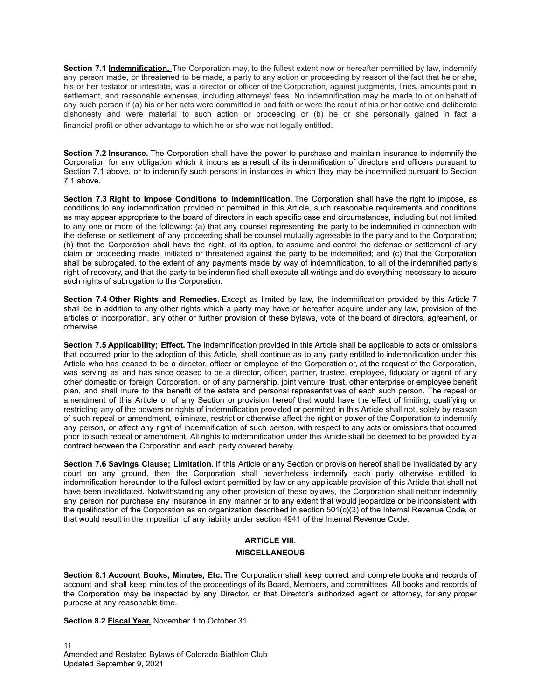**Section 7.1 Indemnification.** The Corporation may, to the fullest extent now or hereafter permitted by law, indemnify any person made, or threatened to be made, a party to any action or proceeding by reason of the fact that he or she, his or her testator or intestate, was a director or officer of the Corporation, against judgments, fines, amounts paid in settlement, and reasonable expenses, including attorneys' fees. No indemnification may be made to or on behalf of any such person if (a) his or her acts were committed in bad faith or were the result of his or her active and deliberate dishonesty and were material to such action or proceeding or (b) he or she personally gained in fact a financial profit or other advantage to which he or she was not legally entitled.

**Section 7.2 Insurance.** The Corporation shall have the power to purchase and maintain insurance to indemnify the Corporation for any obligation which it incurs as a result of its indemnification of directors and officers pursuant to Section 7.1 above, or to indemnify such persons in instances in which they may be indemnified pursuant to Section 7.1 above.

**Section 7.3 Right to Impose Conditions to Indemnification.** The Corporation shall have the right to impose, as conditions to any indemnification provided or permitted in this Article, such reasonable requirements and conditions as may appear appropriate to the board of directors in each specific case and circumstances, including but not limited to any one or more of the following: (a) that any counsel representing the party to be indemnified in connection with the defense or settlement of any proceeding shall be counsel mutually agreeable to the party and to the Corporation; (b) that the Corporation shall have the right, at its option, to assume and control the defense or settlement of any claim or proceeding made, initiated or threatened against the party to be indemnified; and (c) that the Corporation shall be subrogated, to the extent of any payments made by way of indemnification, to all of the indemnified party's right of recovery, and that the party to be indemnified shall execute all writings and do everything necessary to assure such rights of subrogation to the Corporation.

**Section 7.4 Other Rights and Remedies.** Except as limited by law, the indemnification provided by this Article 7 shall be in addition to any other rights which a party may have or hereafter acquire under any law, provision of the articles of incorporation, any other or further provision of these bylaws, vote of the board of directors, agreement, or otherwise.

**Section 7.5 Applicability; Effect.** The indemnification provided in this Article shall be applicable to acts or omissions that occurred prior to the adoption of this Article, shall continue as to any party entitled to indemnification under this Article who has ceased to be a director, officer or employee of the Corporation or, at the request of the Corporation, was serving as and has since ceased to be a director, officer, partner, trustee, employee, fiduciary or agent of any other domestic or foreign Corporation, or of any partnership, joint venture, trust, other enterprise or employee benefit plan, and shall inure to the benefit of the estate and personal representatives of each such person. The repeal or amendment of this Article or of any Section or provision hereof that would have the effect of limiting, qualifying or restricting any of the powers or rights of indemnification provided or permitted in this Article shall not, solely by reason of such repeal or amendment, eliminate, restrict or otherwise affect the right or power of the Corporation to indemnify any person, or affect any right of indemnification of such person, with respect to any acts or omissions that occurred prior to such repeal or amendment. All rights to indemnification under this Article shall be deemed to be provided by a contract between the Corporation and each party covered hereby.

**Section 7.6 Savings Clause; Limitation.** If this Article or any Section or provision hereof shall be invalidated by any court on any ground, then the Corporation shall nevertheless indemnify each party otherwise entitled to indemnification hereunder to the fullest extent permitted by law or any applicable provision of this Article that shall not have been invalidated. Notwithstanding any other provision of these bylaws, the Corporation shall neither indemnify any person nor purchase any insurance in any manner or to any extent that would jeopardize or be inconsistent with the qualification of the Corporation as an organization described in section 501(c)(3) of the Internal Revenue Code, or that would result in the imposition of any liability under section 4941 of the Internal Revenue Code.

## **ARTICLE VIII.**

#### **MISCELLANEOUS**

**Section 8.1 Account Books, Minutes, Etc.** The Corporation shall keep correct and complete books and records of account and shall keep minutes of the proceedings of its Board, Members, and committees. All books and records of the Corporation may be inspected by any Director, or that Director's authorized agent or attorney, for any proper purpose at any reasonable time.

**Section 8.2 Fiscal Year.** November 1 to October 31.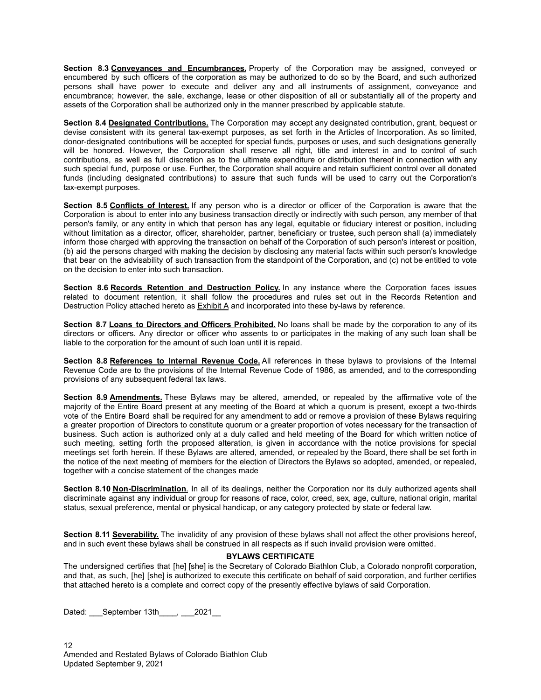**Section 8.3 Conveyances and Encumbrances.** Property of the Corporation may be assigned, conveyed or encumbered by such officers of the corporation as may be authorized to do so by the Board, and such authorized persons shall have power to execute and deliver any and all instruments of assignment, conveyance and encumbrance; however, the sale, exchange, lease or other disposition of all or substantially all of the property and assets of the Corporation shall be authorized only in the manner prescribed by applicable statute.

**Section 8.4 Designated Contributions.** The Corporation may accept any designated contribution, grant, bequest or devise consistent with its general tax-exempt purposes, as set forth in the Articles of Incorporation. As so limited, donor-designated contributions will be accepted for special funds, purposes or uses, and such designations generally will be honored. However, the Corporation shall reserve all right, title and interest in and to control of such contributions, as well as full discretion as to the ultimate expenditure or distribution thereof in connection with any such special fund, purpose or use. Further, the Corporation shall acquire and retain sufficient control over all donated funds (including designated contributions) to assure that such funds will be used to carry out the Corporation's tax-exempt purposes.

**Section 8.5 Conflicts of Interest.** If any person who is a director or officer of the Corporation is aware that the Corporation is about to enter into any business transaction directly or indirectly with such person, any member of that person's family, or any entity in which that person has any legal, equitable or fiduciary interest or position, including without limitation as a director, officer, shareholder, partner, beneficiary or trustee, such person shall (a) immediately inform those charged with approving the transaction on behalf of the Corporation of such person's interest or position, (b) aid the persons charged with making the decision by disclosing any material facts within such person's knowledge that bear on the advisability of such transaction from the standpoint of the Corporation, and (c) not be entitled to vote on the decision to enter into such transaction.

**Section 8.6 Records Retention and Destruction Policy.** In any instance where the Corporation faces issues related to document retention, it shall follow the procedures and rules set out in the Records Retention and Destruction Policy attached hereto as Exhibit A and incorporated into these by-laws by reference.

**Section 8.7 Loans to Directors and Officers Prohibited.** No loans shall be made by the corporation to any of its directors or officers. Any director or officer who assents to or participates in the making of any such loan shall be liable to the corporation for the amount of such loan until it is repaid.

**Section 8.8 References to Internal Revenue Code.** All references in these bylaws to provisions of the Internal Revenue Code are to the provisions of the Internal Revenue Code of 1986, as amended, and to the corresponding provisions of any subsequent federal tax laws.

**Section 8.9 Amendments.** These Bylaws may be altered, amended, or repealed by the affirmative vote of the majority of the Entire Board present at any meeting of the Board at which a quorum is present, except a two-thirds vote of the Entire Board shall be required for any amendment to add or remove a provision of these Bylaws requiring a greater proportion of Directors to constitute quorum or a greater proportion of votes necessary for the transaction of business. Such action is authorized only at a duly called and held meeting of the Board for which written notice of such meeting, setting forth the proposed alteration, is given in accordance with the notice provisions for special meetings set forth herein. If these Bylaws are altered, amended, or repealed by the Board, there shall be set forth in the notice of the next meeting of members for the election of Directors the Bylaws so adopted, amended, or repealed, together with a concise statement of the changes made

**Section 8.10 Non-Discrimination**. In all of its dealings, neither the Corporation nor its duly authorized agents shall discriminate against any individual or group for reasons of race, color, creed, sex, age, culture, national origin, marital status, sexual preference, mental or physical handicap, or any category protected by state or federal law.

**Section 8.11 Severability.** The invalidity of any provision of these bylaws shall not affect the other provisions hereof, and in such event these bylaws shall be construed in all respects as if such invalid provision were omitted.

#### **BYLAWS CERTIFICATE**

The undersigned certifies that [he] [she] is the Secretary of Colorado Biathlon Club, a Colorado nonprofit corporation, and that, as such, [he] [she] is authorized to execute this certificate on behalf of said corporation, and further certifies that attached hereto is a complete and correct copy of the presently effective bylaws of said Corporation.

Dated: September 13th<br>2021